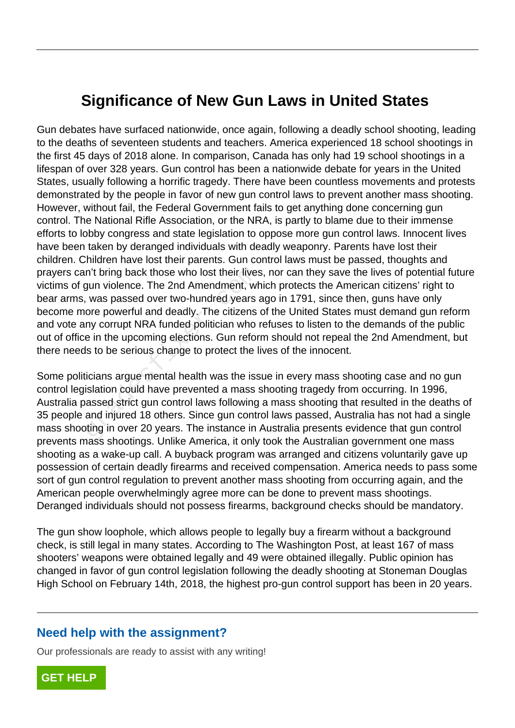## **Significance of New Gun Laws in United States**

Gun debates have surfaced nationwide, once again, following a deadly school shooting, leading to the deaths of seventeen students and teachers. America experienced 18 school shootings in the first 45 days of 2018 alone. In comparison, Canada has only had 19 school shootings in a lifespan of over 328 years. Gun control has been a nationwide debate for years in the United States, usually following a horrific tragedy. There have been countless movements and protests demonstrated by the people in favor of new gun control laws to prevent another mass shooting. However, without fail, the Federal Government fails to get anything done concerning gun control. The National Rifle Association, or the NRA, is partly to blame due to their immense efforts to lobby congress and state legislation to oppose more gun control laws. Innocent lives have been taken by deranged individuals with deadly weaponry. Parents have lost their children. Children have lost their parents. Gun control laws must be passed, thoughts and prayers can't bring back those who lost their lives, nor can they save the lives of potential future victims of gun violence. The 2nd Amendment, which protects the American citizens' right to bear arms, was passed over two-hundred years ago in 1791, since then, guns have only become more powerful and deadly. The citizens of the United States must demand gun reform and vote any corrupt NRA funded politician who refuses to listen to the demands of the public out of office in the upcoming elections. Gun reform should not repeal the 2nd Amendment, but there needs to be serious change to protect the lives of the innocent. n't bring back those who lost their lives<br>gun violence. The 2nd Amendment, wh<br>, was passed over two-hundred years a<br>ore powerful and deadly. The citizens<br>ore powerful and deadly. The citizens<br>iny corrupt NRA funded politic

Some politicians argue mental health was the issue in every mass shooting case and no gun control legislation could have prevented a mass shooting tragedy from occurring. In 1996, Australia passed strict gun control laws following a mass shooting that resulted in the deaths of 35 people and injured 18 others. Since gun control laws passed, Australia has not had a single mass shooting in over 20 years. The instance in Australia presents evidence that gun control prevents mass shootings. Unlike America, it only took the Australian government one mass shooting as a wake-up call. A buyback program was arranged and citizens voluntarily gave up possession of certain deadly firearms and received compensation. America needs to pass some sort of gun control regulation to prevent another mass shooting from occurring again, and the American people overwhelmingly agree more can be done to prevent mass shootings. Deranged individuals should not possess firearms, background checks should be mandatory.

The gun show loophole, which allows people to legally buy a firearm without a background check, is still legal in many states. According to The Washington Post, at least 167 of mass shooters' weapons were obtained legally and 49 were obtained illegally. Public opinion has changed in favor of gun control legislation following the deadly shooting at Stoneman Douglas High School on February 14th, 2018, the highest pro-gun control support has been in 20 years.

## **Need help with the assignment?**

Our professionals are ready to assist with any writing!

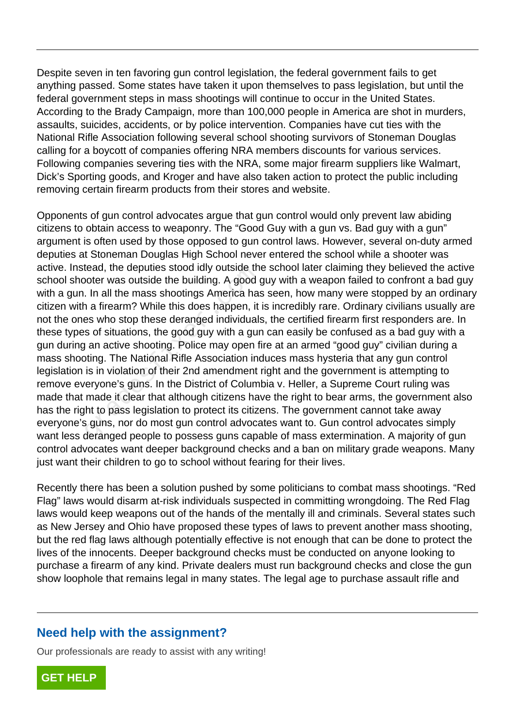Despite seven in ten favoring gun control legislation, the federal government fails to get anything passed. Some states have taken it upon themselves to pass legislation, but until the federal government steps in mass shootings will continue to occur in the United States. According to the Brady Campaign, more than 100,000 people in America are shot in murders, assaults, suicides, accidents, or by police intervention. Companies have cut ties with the National Rifle Association following several school shooting survivors of Stoneman Douglas calling for a boycott of companies offering NRA members discounts for various services. Following companies severing ties with the NRA, some major firearm suppliers like Walmart, Dick's Sporting goods, and Kroger and have also taken action to protect the public including removing certain firearm products from their stores and website.

Opponents of gun control advocates argue that gun control would only prevent law abiding citizens to obtain access to weaponry. The "Good Guy with a gun vs. Bad guy with a gun" argument is often used by those opposed to gun control laws. However, several on-duty armed deputies at Stoneman Douglas High School never entered the school while a shooter was active. Instead, the deputies stood idly outside the school later claiming they believed the active school shooter was outside the building. A good guy with a weapon failed to confront a bad guy with a gun. In all the mass shootings America has seen, how many were stopped by an ordinary citizen with a firearm? While this does happen, it is incredibly rare. Ordinary civilians usually are not the ones who stop these deranged individuals, the certified firearm first responders are. In these types of situations, the good guy with a gun can easily be confused as a bad guy with a gun during an active shooting. Police may open fire at an armed "good guy" civilian during a mass shooting. The National Rifle Association induces mass hysteria that any gun control legislation is in violation of their 2nd amendment right and the government is attempting to remove everyone's guns. In the District of Columbia v. Heller, a Supreme Court ruling was made that made it clear that although citizens have the right to bear arms, the government also has the right to pass legislation to protect its citizens. The government cannot take away everyone's guns, nor do most gun control advocates want to. Gun control advocates simply want less deranged people to possess guns capable of mass extermination. A majority of gun control advocates want deeper background checks and a ban on military grade weapons. Many just want their children to go to school without fearing for their lives. dead, the deputes stood lary outside the<br>oter was outside the building. A good of<br>a line and the mass shootings America has<br>a firearm? While this does happen, it<br>as who stop these deranged individuals<br>s of situations, the

Recently there has been a solution pushed by some politicians to combat mass shootings. "Red Flag" laws would disarm at-risk individuals suspected in committing wrongdoing. The Red Flag laws would keep weapons out of the hands of the mentally ill and criminals. Several states such as New Jersey and Ohio have proposed these types of laws to prevent another mass shooting, but the red flag laws although potentially effective is not enough that can be done to protect the lives of the innocents. Deeper background checks must be conducted on anyone looking to purchase a firearm of any kind. Private dealers must run background checks and close the gun show loophole that remains legal in many states. The legal age to purchase assault rifle and

## **Need help with the assignment?**

Our professionals are ready to assist with any writing!

**[GET HELP](https://my.gradesfixer.com/order?utm_campaign=pdf_sample)**